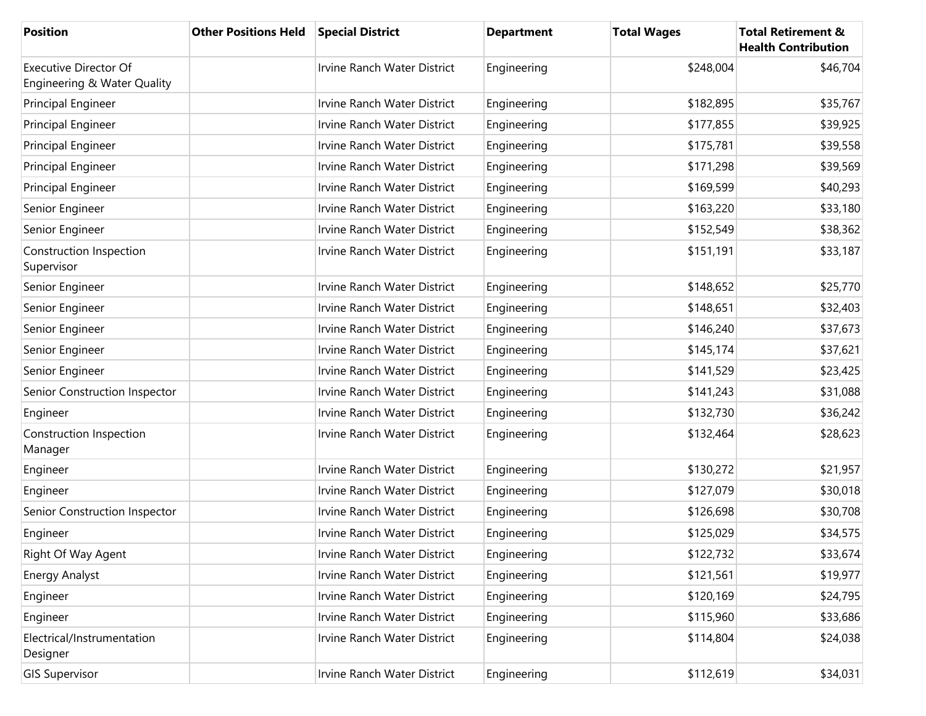| <b>Position</b>                                             | <b>Other Positions Held</b> | <b>Special District</b>            | <b>Department</b> | <b>Total Wages</b> | <b>Total Retirement &amp;</b><br><b>Health Contribution</b> |
|-------------------------------------------------------------|-----------------------------|------------------------------------|-------------------|--------------------|-------------------------------------------------------------|
| <b>Executive Director Of</b><br>Engineering & Water Quality |                             | Irvine Ranch Water District        | Engineering       | \$248,004          | \$46,704                                                    |
| Principal Engineer                                          |                             | Irvine Ranch Water District        | Engineering       | \$182,895          | \$35,767                                                    |
| <b>Principal Engineer</b>                                   |                             | Irvine Ranch Water District        | Engineering       | \$177,855          | \$39,925                                                    |
| <b>Principal Engineer</b>                                   |                             | <b>Irvine Ranch Water District</b> | Engineering       | \$175,781          | \$39,558                                                    |
| Principal Engineer                                          |                             | Irvine Ranch Water District        | Engineering       | \$171,298          | \$39,569                                                    |
| Principal Engineer                                          |                             | Irvine Ranch Water District        | Engineering       | \$169,599          | \$40,293                                                    |
| Senior Engineer                                             |                             | Irvine Ranch Water District        | Engineering       | \$163,220          | \$33,180                                                    |
| Senior Engineer                                             |                             | Irvine Ranch Water District        | Engineering       | \$152,549          | \$38,362                                                    |
| Construction Inspection<br>Supervisor                       |                             | Irvine Ranch Water District        | Engineering       | \$151,191          | \$33,187                                                    |
| Senior Engineer                                             |                             | <b>Irvine Ranch Water District</b> | Engineering       | \$148,652          | \$25,770                                                    |
| Senior Engineer                                             |                             | Irvine Ranch Water District        | Engineering       | \$148,651          | \$32,403                                                    |
| Senior Engineer                                             |                             | Irvine Ranch Water District        | Engineering       | \$146,240          | \$37,673                                                    |
| Senior Engineer                                             |                             | Irvine Ranch Water District        | Engineering       | \$145,174          | \$37,621                                                    |
| Senior Engineer                                             |                             | Irvine Ranch Water District        | Engineering       | \$141,529          | \$23,425                                                    |
| Senior Construction Inspector                               |                             | Irvine Ranch Water District        | Engineering       | \$141,243          | \$31,088                                                    |
| Engineer                                                    |                             | Irvine Ranch Water District        | Engineering       | \$132,730          | \$36,242                                                    |
| Construction Inspection<br>Manager                          |                             | Irvine Ranch Water District        | Engineering       | \$132,464          | \$28,623                                                    |
| Engineer                                                    |                             | Irvine Ranch Water District        | Engineering       | \$130,272          | \$21,957                                                    |
| Engineer                                                    |                             | <b>Irvine Ranch Water District</b> | Engineering       | \$127,079          | \$30,018                                                    |
| Senior Construction Inspector                               |                             | Irvine Ranch Water District        | Engineering       | \$126,698          | \$30,708                                                    |
| Engineer                                                    |                             | Irvine Ranch Water District        | Engineering       | \$125,029          | \$34,575                                                    |
| Right Of Way Agent                                          |                             | Irvine Ranch Water District        | Engineering       | \$122,732          | \$33,674                                                    |
| Energy Analyst                                              |                             | Irvine Ranch Water District        | Engineering       | \$121,561          | \$19,977                                                    |
| Engineer                                                    |                             | Irvine Ranch Water District        | Engineering       | \$120,169          | \$24,795                                                    |
| Engineer                                                    |                             | Irvine Ranch Water District        | Engineering       | \$115,960          | \$33,686                                                    |
| Electrical/Instrumentation<br>Designer                      |                             | Irvine Ranch Water District        | Engineering       | \$114,804          | \$24,038                                                    |
| <b>GIS Supervisor</b>                                       |                             | Irvine Ranch Water District        | Engineering       | \$112,619          | \$34,031                                                    |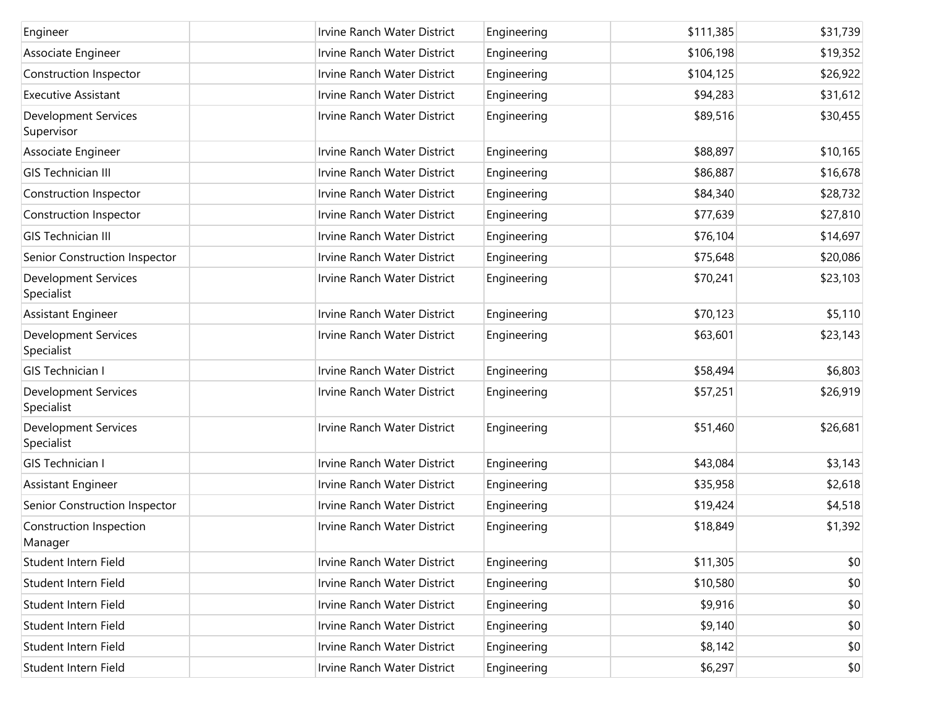| Engineer                                  | Irvine Ranch Water District | Engineering | \$111,385 | \$31,739 |
|-------------------------------------------|-----------------------------|-------------|-----------|----------|
| Associate Engineer                        | Irvine Ranch Water District | Engineering | \$106,198 | \$19,352 |
| Construction Inspector                    | Irvine Ranch Water District | Engineering | \$104,125 | \$26,922 |
| <b>Executive Assistant</b>                | Irvine Ranch Water District | Engineering | \$94,283  | \$31,612 |
| <b>Development Services</b><br>Supervisor | Irvine Ranch Water District | Engineering | \$89,516  | \$30,455 |
| Associate Engineer                        | Irvine Ranch Water District | Engineering | \$88,897  | \$10,165 |
| <b>GIS Technician III</b>                 | Irvine Ranch Water District | Engineering | \$86,887  | \$16,678 |
| Construction Inspector                    | Irvine Ranch Water District | Engineering | \$84,340  | \$28,732 |
| Construction Inspector                    | Irvine Ranch Water District | Engineering | \$77,639  | \$27,810 |
| <b>GIS Technician III</b>                 | Irvine Ranch Water District | Engineering | \$76,104  | \$14,697 |
| Senior Construction Inspector             | Irvine Ranch Water District | Engineering | \$75,648  | \$20,086 |
| <b>Development Services</b><br>Specialist | Irvine Ranch Water District | Engineering | \$70,241  | \$23,103 |
| <b>Assistant Engineer</b>                 | Irvine Ranch Water District | Engineering | \$70,123  | \$5,110  |
| <b>Development Services</b><br>Specialist | Irvine Ranch Water District | Engineering | \$63,601  | \$23,143 |
| <b>GIS Technician I</b>                   | Irvine Ranch Water District | Engineering | \$58,494  | \$6,803  |
| <b>Development Services</b><br>Specialist | Irvine Ranch Water District | Engineering | \$57,251  | \$26,919 |
| Development Services<br>Specialist        | Irvine Ranch Water District | Engineering | \$51,460  | \$26,681 |
| <b>GIS Technician I</b>                   | Irvine Ranch Water District | Engineering | \$43,084  | \$3,143  |
| Assistant Engineer                        | Irvine Ranch Water District | Engineering | \$35,958  | \$2,618  |
| Senior Construction Inspector             | Irvine Ranch Water District | Engineering | \$19,424  | \$4,518  |
| Construction Inspection<br>Manager        | Irvine Ranch Water District | Engineering | \$18,849  | \$1,392  |
| Student Intern Field                      | Irvine Ranch Water District | Engineering | \$11,305  | \$0      |
| Student Intern Field                      | Irvine Ranch Water District | Engineering | \$10,580  | \$0      |
| Student Intern Field                      | Irvine Ranch Water District | Engineering | \$9,916   | \$0      |
| Student Intern Field                      | Irvine Ranch Water District | Engineering | \$9,140   | \$0      |
| Student Intern Field                      | Irvine Ranch Water District | Engineering | \$8,142   | \$0      |
| Student Intern Field                      | Irvine Ranch Water District | Engineering | \$6,297   | \$0      |